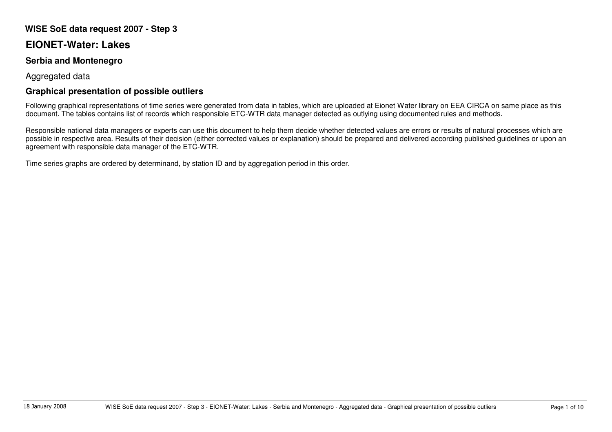## **WISE SoE data request 2007 - Step 3**

## **EIONET-Water: Lakes**

## **Serbia and Montenegro**

Aggregated data

## **Graphical presentation of possible outliers**

Following graphical representations of time series were generated from data in tables, which are uploaded at Eionet Water library on EEA CIRCA on same place as this document. The tables contains list of records which responsible ETC-WTR data manager detected as outlying using documented rules and methods.

Responsible national data managers or experts can use this document to help them decide whether detected values are errors or results of natural processes which are possible in respective area. Results of their decision (either corrected values or explanation) should be prepared and delivered according published guidelines or upon an agreement with responsible data manager of the ETC-WTR.

Time series graphs are ordered by determinand, by station ID and by aggregation period in this order.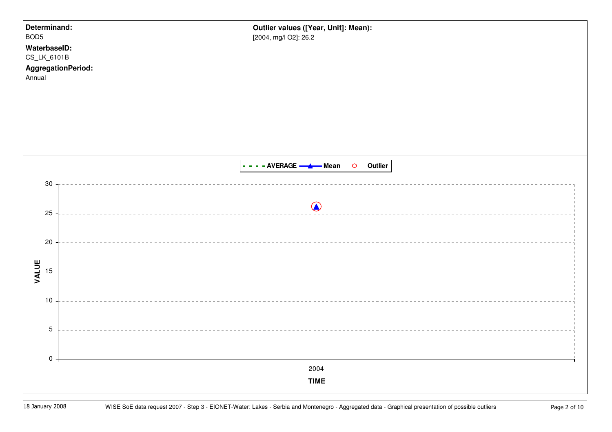| Determinand:<br>BOD <sub>5</sub><br>WaterbaseID:<br>CS_LK_6101B<br>AggregationPeriod:<br>Annual |                 | Outlier values ([Year, Unit]: Mean):<br>[2004, mg/l O2]: 26.2 |
|-------------------------------------------------------------------------------------------------|-----------------|---------------------------------------------------------------|
|                                                                                                 |                 |                                                               |
|                                                                                                 |                 | - - - - AVERAGE - A - Mean O Outlier                          |
| $30\,$                                                                                          |                 |                                                               |
| $25\,$                                                                                          |                 | $\bigcirc$                                                    |
|                                                                                                 |                 |                                                               |
| $20\,$                                                                                          |                 |                                                               |
| VALUE<br>15                                                                                     |                 |                                                               |
|                                                                                                 |                 |                                                               |
| $10$                                                                                            |                 |                                                               |
|                                                                                                 | $5\phantom{.0}$ |                                                               |
|                                                                                                 |                 |                                                               |
|                                                                                                 | $\pmb{0}$       | 2004                                                          |
|                                                                                                 |                 | <b>TIME</b>                                                   |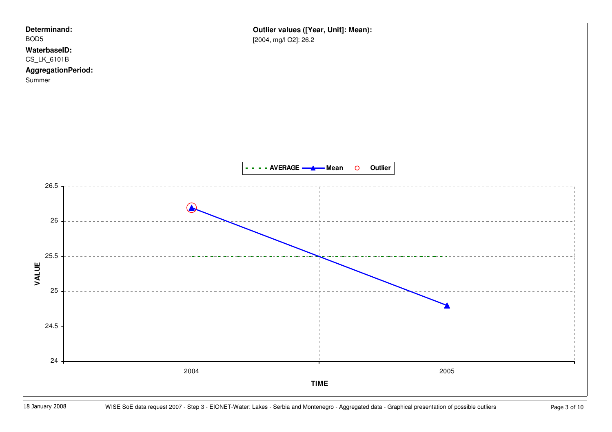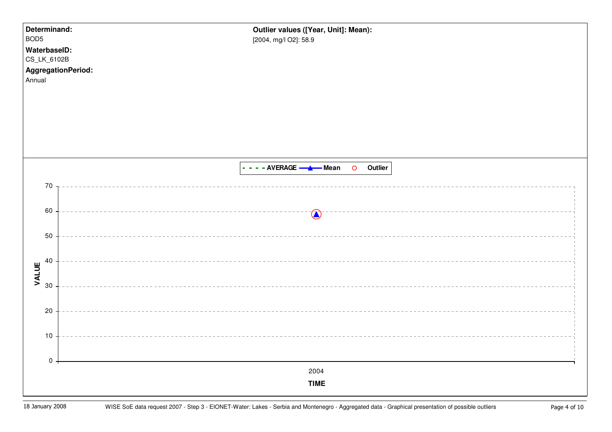| Determinand:<br>BOD <sub>5</sub><br>WaterbaseID:<br>CS_LK_6102B<br>Annual | Outlier values ([Year, Unit]: Mean):<br>[2004, mg/l O2]: 58.9<br>AggregationPeriod: |  |
|---------------------------------------------------------------------------|-------------------------------------------------------------------------------------|--|
|                                                                           | - - - - AVERAGE - A Mean<br>O Outlier                                               |  |
| $70\,$<br>60                                                              | $\bigcirc$                                                                          |  |
| 50<br>40<br>VALUE<br>30                                                   |                                                                                     |  |
| 20<br>$10$                                                                |                                                                                     |  |
| $\pmb{0}$                                                                 | 2004<br><b>TIME</b>                                                                 |  |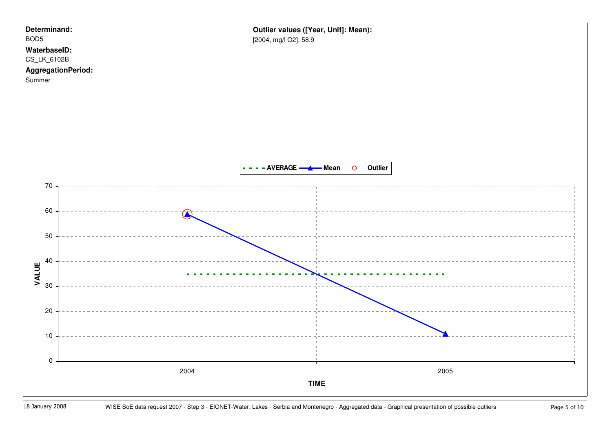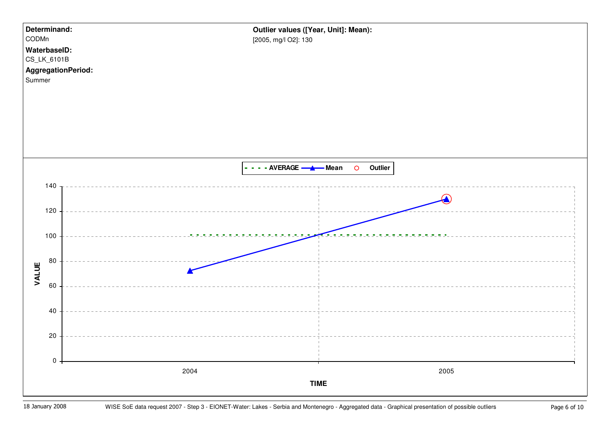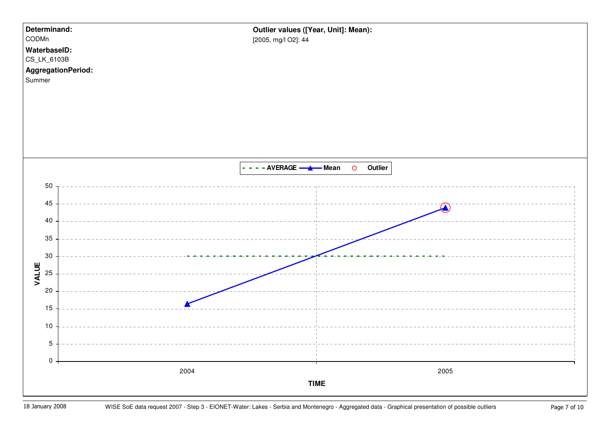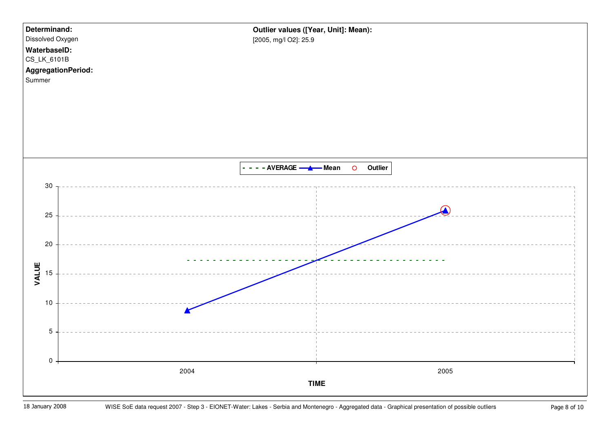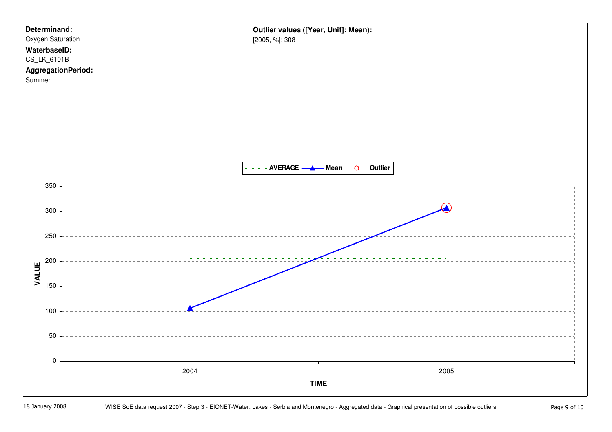